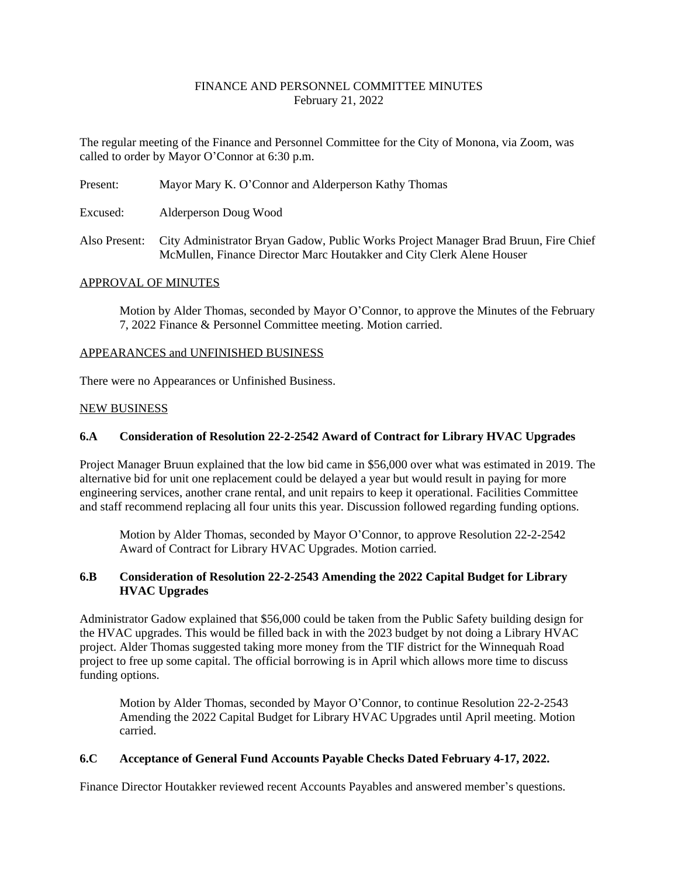## FINANCE AND PERSONNEL COMMITTEE MINUTES February 21, 2022

The regular meeting of the Finance and Personnel Committee for the City of Monona, via Zoom, was called to order by Mayor O'Connor at 6:30 p.m.

Present: Mayor Mary K. O'Connor and Alderperson Kathy Thomas

Excused: Alderperson Doug Wood

Also Present: City Administrator Bryan Gadow, Public Works Project Manager Brad Bruun, Fire Chief McMullen, Finance Director Marc Houtakker and City Clerk Alene Houser

#### APPROVAL OF MINUTES

Motion by Alder Thomas, seconded by Mayor O'Connor, to approve the Minutes of the February 7, 2022 Finance & Personnel Committee meeting. Motion carried.

#### APPEARANCES and UNFINISHED BUSINESS

There were no Appearances or Unfinished Business.

#### NEW BUSINESS

#### **6.A Consideration of Resolution 22-2-2542 Award of Contract for Library HVAC Upgrades**

Project Manager Bruun explained that the low bid came in \$56,000 over what was estimated in 2019. The alternative bid for unit one replacement could be delayed a year but would result in paying for more engineering services, another crane rental, and unit repairs to keep it operational. Facilities Committee and staff recommend replacing all four units this year. Discussion followed regarding funding options.

Motion by Alder Thomas, seconded by Mayor O'Connor, to approve Resolution 22-2-2542 Award of Contract for Library HVAC Upgrades. Motion carried.

# **6.B Consideration of Resolution 22-2-2543 Amending the 2022 Capital Budget for Library HVAC Upgrades**

Administrator Gadow explained that \$56,000 could be taken from the Public Safety building design for the HVAC upgrades. This would be filled back in with the 2023 budget by not doing a Library HVAC project. Alder Thomas suggested taking more money from the TIF district for the Winnequah Road project to free up some capital. The official borrowing is in April which allows more time to discuss funding options.

Motion by Alder Thomas, seconded by Mayor O'Connor, to continue Resolution 22-2-2543 Amending the 2022 Capital Budget for Library HVAC Upgrades until April meeting. Motion carried.

### **6.C Acceptance of General Fund Accounts Payable Checks Dated February 4-17, 2022.**

Finance Director Houtakker reviewed recent Accounts Payables and answered member's questions.